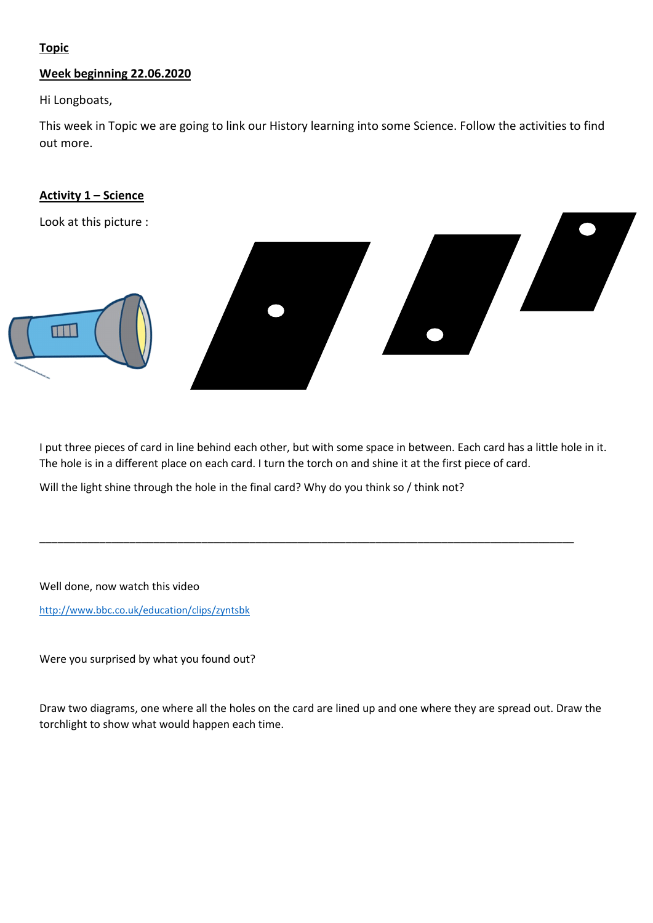# Topic

## Week beginning 22.06.2020

Hi Longboats,

This week in Topic we are going to link our History learning into some Science. Follow the activities to find out more.

### Activity 1 – Science

Look at this picture :



I put three pieces of card in line behind each other, but with some space in between. Each card has a little hole in it. The hole is in a different place on each card. I turn the torch on and shine it at the first piece of card.

\_\_\_\_\_\_\_\_\_\_\_\_\_\_\_\_\_\_\_\_\_\_\_\_\_\_\_\_\_\_\_\_\_\_\_\_\_\_\_\_\_\_\_\_\_\_\_\_\_\_\_\_\_\_\_\_\_\_\_\_\_\_\_\_\_\_\_\_\_\_\_\_\_\_\_\_\_\_\_\_\_\_\_\_\_\_\_\_\_

Will the light shine through the hole in the final card? Why do you think so / think not?

Well done, now watch this video

<http://www.bbc.co.uk/education/clips/zyntsbk>

Were you surprised by what you found out?

Draw two diagrams, one where all the holes on the card are lined up and one where they are spread out. Draw the torchlight to show what would happen each time.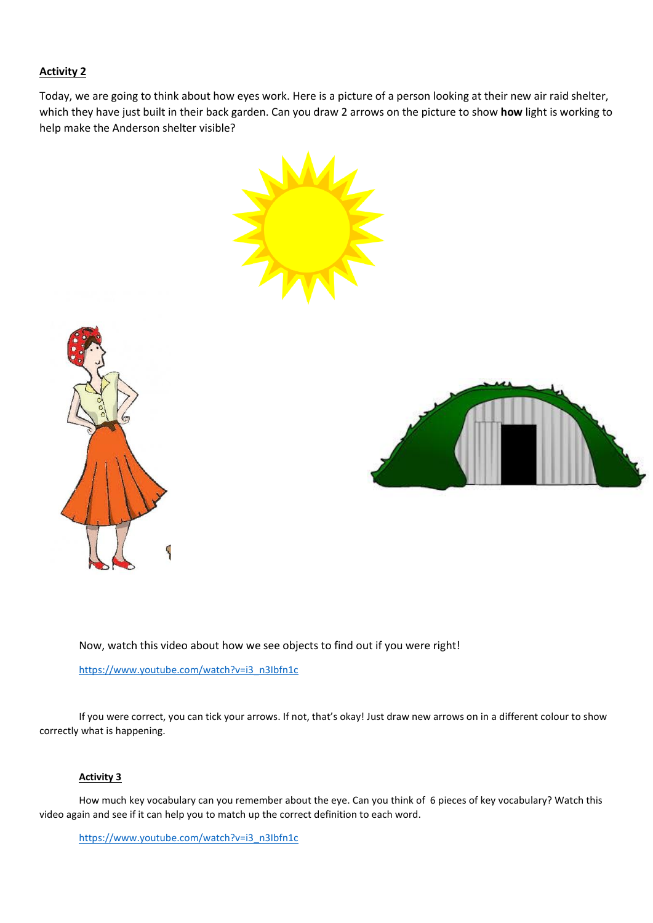#### Activity 2

Today, we are going to think about how eyes work. Here is a picture of a person looking at their new air raid shelter, which they have just built in their back garden. Can you draw 2 arrows on the picture to show how light is working to help make the Anderson shelter visible?







Now, watch this video about how we see objects to find out if you were right!

https://www.youtube.com/watch?v=i3\_n3Ibfn1c

If you were correct, you can tick your arrows. If not, that's okay! Just draw new arrows on in a different colour to show correctly what is happening.

#### Activity 3

How much key vocabulary can you remember about the eye. Can you think of 6 pieces of key vocabulary? Watch this video again and see if it can help you to match up the correct definition to each word.

https://www.youtube.com/watch?v=i3\_n3Ibfn1c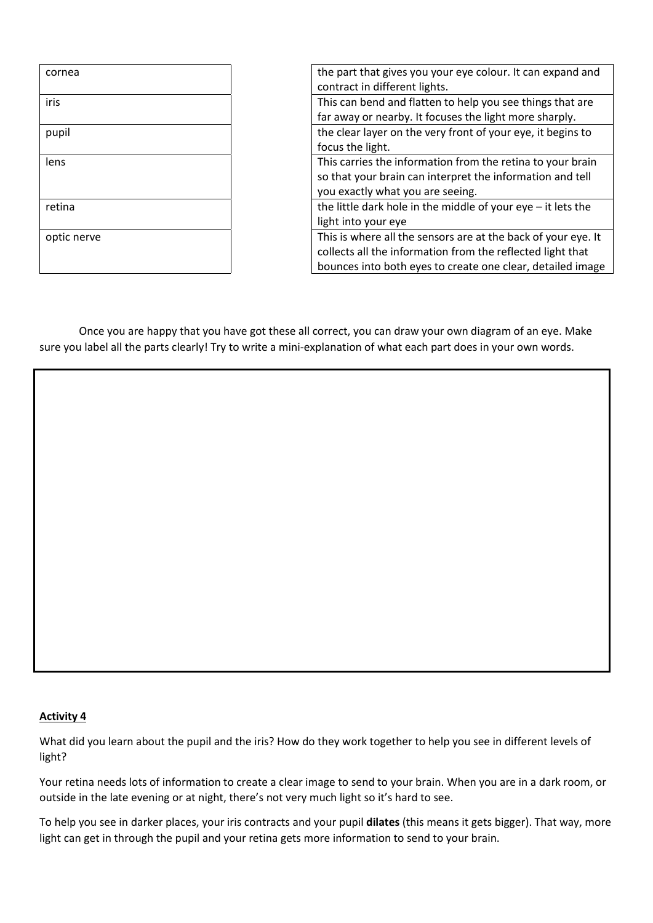| cornea      | the part that gives you your eye colour. It can expand and<br>contract in different lights.                                                                                               |
|-------------|-------------------------------------------------------------------------------------------------------------------------------------------------------------------------------------------|
| iris        | This can bend and flatten to help you see things that are<br>far away or nearby. It focuses the light more sharply.                                                                       |
| pupil       | the clear layer on the very front of your eye, it begins to<br>focus the light.                                                                                                           |
| lens        | This carries the information from the retina to your brain<br>so that your brain can interpret the information and tell<br>you exactly what you are seeing.                               |
| retina      | the little dark hole in the middle of your $eye - it$ lets the<br>light into your eye                                                                                                     |
| optic nerve | This is where all the sensors are at the back of your eye. It<br>collects all the information from the reflected light that<br>bounces into both eyes to create one clear, detailed image |

Once you are happy that you have got these all correct, you can draw your own diagram of an eye. Make sure you label all the parts clearly! Try to write a mini-explanation of what each part does in your own words.

#### Activity 4

What did you learn about the pupil and the iris? How do they work together to help you see in different levels of light?

Your retina needs lots of information to create a clear image to send to your brain. When you are in a dark room, or outside in the late evening or at night, there's not very much light so it's hard to see.

To help you see in darker places, your iris contracts and your pupil dilates (this means it gets bigger). That way, more light can get in through the pupil and your retina gets more information to send to your brain.